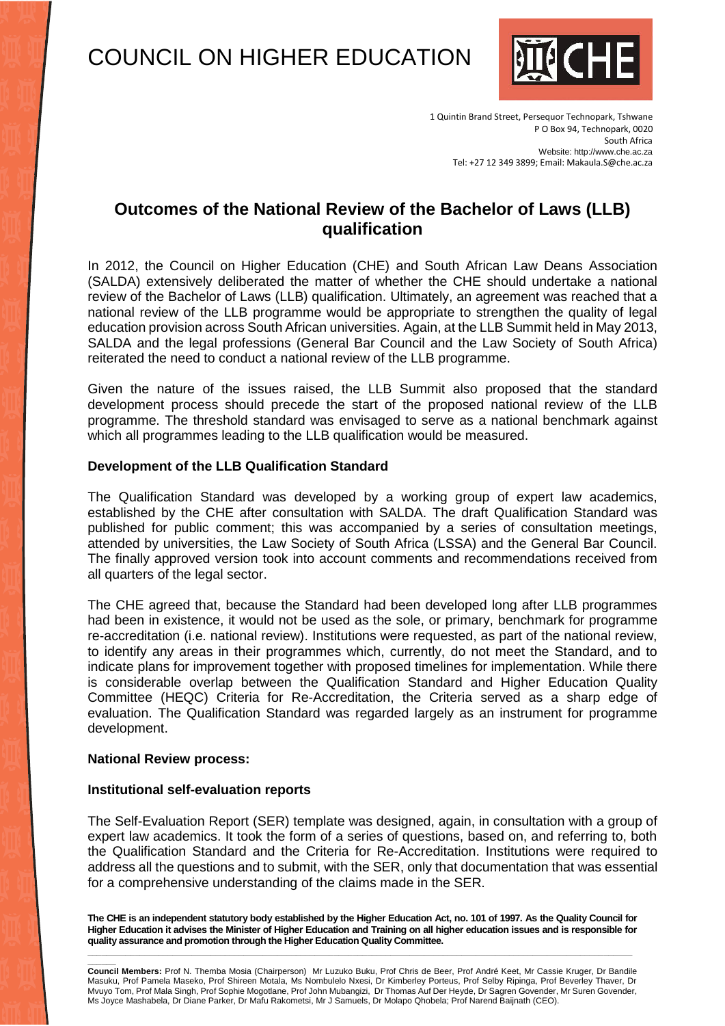# COUNCIL ON HIGHER EDUCATION



1 Quintin Brand Street, Persequor Technopark, Tshwane P O Box 94, Technopark, 0020 South Africa Website: http://www.che.ac.za Tel: +27 12 349 3899; Email: Makaula.S@che.ac.za

# **Outcomes of the National Review of the Bachelor of Laws (LLB) qualification**

In 2012, the Council on Higher Education (CHE) and South African Law Deans Association (SALDA) extensively deliberated the matter of whether the CHE should undertake a national review of the Bachelor of Laws (LLB) qualification. Ultimately, an agreement was reached that a national review of the LLB programme would be appropriate to strengthen the quality of legal education provision across South African universities. Again, at the LLB Summit held in May 2013, SALDA and the legal professions (General Bar Council and the Law Society of South Africa) reiterated the need to conduct a national review of the LLB programme.

Given the nature of the issues raised, the LLB Summit also proposed that the standard development process should precede the start of the proposed national review of the LLB programme. The threshold standard was envisaged to serve as a national benchmark against which all programmes leading to the LLB qualification would be measured.

#### **Development of the LLB Qualification Standard**

The Qualification Standard was developed by a working group of expert law academics, established by the CHE after consultation with SALDA. The draft Qualification Standard was published for public comment; this was accompanied by a series of consultation meetings, attended by universities, the Law Society of South Africa (LSSA) and the General Bar Council. The finally approved version took into account comments and recommendations received from all quarters of the legal sector.

The CHE agreed that, because the Standard had been developed long after LLB programmes had been in existence, it would not be used as the sole, or primary, benchmark for programme re-accreditation (i.e. national review). Institutions were requested, as part of the national review, to identify any areas in their programmes which, currently, do not meet the Standard, and to indicate plans for improvement together with proposed timelines for implementation. While there is considerable overlap between the Qualification Standard and Higher Education Quality Committee (HEQC) Criteria for Re-Accreditation, the Criteria served as a sharp edge of evaluation. The Qualification Standard was regarded largely as an instrument for programme development.

#### **National Review process:**

#### **Institutional self-evaluation reports**

The Self-Evaluation Report (SER) template was designed, again, in consultation with a group of expert law academics. It took the form of a series of questions, based on, and referring to, both the Qualification Standard and the Criteria for Re-Accreditation. Institutions were required to address all the questions and to submit, with the SER, only that documentation that was essential for a comprehensive understanding of the claims made in the SER.

**The CHE is an independent statutory body established by the Higher Education Act, no. 101 of 1997. As the Quality Council for Higher Education it advises the Minister of Higher Education and Training on all higher education issues and is responsible for quality assurance and promotion through the Higher Education Quality Committee. \_\_\_\_\_\_\_\_\_\_\_\_\_\_\_\_\_\_\_\_\_\_\_\_\_\_\_\_\_\_\_\_\_\_\_\_\_\_\_\_\_\_\_\_\_\_\_\_\_\_\_\_\_\_\_\_\_\_\_\_\_\_\_\_\_\_\_\_\_\_\_\_\_\_\_\_\_\_\_\_\_\_\_\_\_\_\_\_\_\_\_\_\_\_\_\_\_\_\_\_\_\_\_\_\_\_\_\_\_\_\_\_\_\_\_**

**\_\_\_\_\_\_ Council Members:** Prof N. Themba Mosia (Chairperson) Mr Luzuko Buku, Prof Chris de Beer, Prof André Keet, Mr Cassie Kruger, Dr Bandile Masuku, Prof Pamela Maseko, Prof Shireen Motala, Ms Nombulelo Nxesi, Dr Kimberley Porteus, Prof Selby Ripinga, Prof Beverley Thaver, Dr Mvuyo Tom, Prof Mala Singh, Prof Sophie Mogotlane, Prof John Mubangizi, Dr Thomas Auf Der Heyde, Dr Sagren Govender, Mr Suren Govender, Ms Joyce Mashabela, Dr Diane Parker, Dr Mafu Rakometsi, Mr J Samuels, Dr Molapo Qhobela; Prof Narend Baijnath (CEO).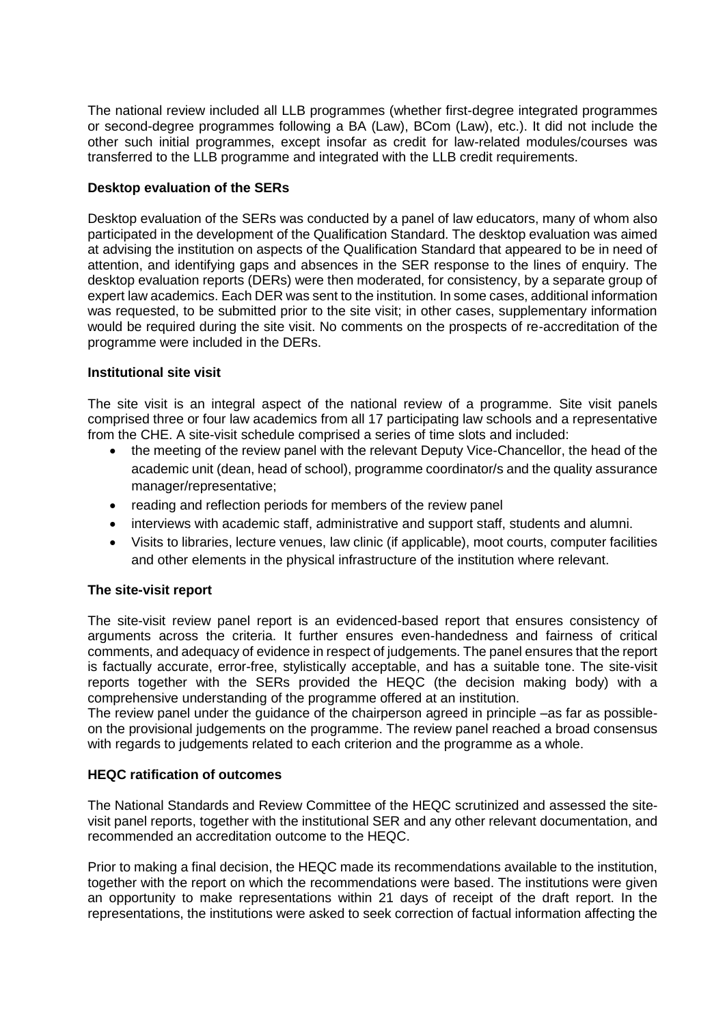The national review included all LLB programmes (whether first-degree integrated programmes or second-degree programmes following a BA (Law), BCom (Law), etc.). It did not include the other such initial programmes, except insofar as credit for law-related modules/courses was transferred to the LLB programme and integrated with the LLB credit requirements.

# **Desktop evaluation of the SERs**

Desktop evaluation of the SERs was conducted by a panel of law educators, many of whom also participated in the development of the Qualification Standard. The desktop evaluation was aimed at advising the institution on aspects of the Qualification Standard that appeared to be in need of attention, and identifying gaps and absences in the SER response to the lines of enquiry. The desktop evaluation reports (DERs) were then moderated, for consistency, by a separate group of expert law academics. Each DER was sent to the institution. In some cases, additional information was requested, to be submitted prior to the site visit; in other cases, supplementary information would be required during the site visit. No comments on the prospects of re-accreditation of the programme were included in the DERs.

# **Institutional site visit**

The site visit is an integral aspect of the national review of a programme. Site visit panels comprised three or four law academics from all 17 participating law schools and a representative from the CHE. A site-visit schedule comprised a series of time slots and included:

- the meeting of the review panel with the relevant Deputy Vice-Chancellor, the head of the academic unit (dean, head of school), programme coordinator/s and the quality assurance manager/representative;
- reading and reflection periods for members of the review panel
- interviews with academic staff, administrative and support staff, students and alumni.
- Visits to libraries, lecture venues, law clinic (if applicable), moot courts, computer facilities and other elements in the physical infrastructure of the institution where relevant.

### **The site-visit report**

The site-visit review panel report is an evidenced-based report that ensures consistency of arguments across the criteria. It further ensures even-handedness and fairness of critical comments, and adequacy of evidence in respect of judgements. The panel ensures that the report is factually accurate, error-free, stylistically acceptable, and has a suitable tone. The site-visit reports together with the SERs provided the HEQC (the decision making body) with a comprehensive understanding of the programme offered at an institution.

The review panel under the guidance of the chairperson agreed in principle –as far as possibleon the provisional judgements on the programme. The review panel reached a broad consensus with regards to judgements related to each criterion and the programme as a whole.

### **HEQC ratification of outcomes**

The National Standards and Review Committee of the HEQC scrutinized and assessed the sitevisit panel reports, together with the institutional SER and any other relevant documentation, and recommended an accreditation outcome to the HEQC.

Prior to making a final decision, the HEQC made its recommendations available to the institution, together with the report on which the recommendations were based. The institutions were given an opportunity to make representations within 21 days of receipt of the draft report. In the representations, the institutions were asked to seek correction of factual information affecting the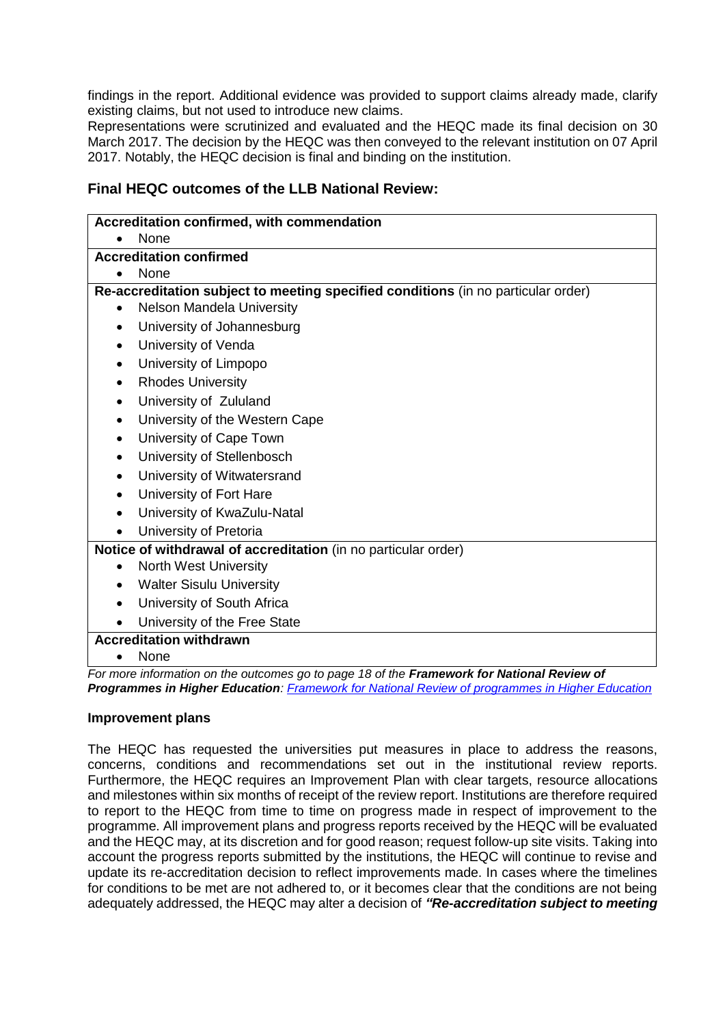findings in the report. Additional evidence was provided to support claims already made, clarify existing claims, but not used to introduce new claims.

Representations were scrutinized and evaluated and the HEQC made its final decision on 30 March 2017. The decision by the HEQC was then conveyed to the relevant institution on 07 April 2017. Notably, the HEQC decision is final and binding on the institution.

# **Final HEQC outcomes of the LLB National Review:**

| Accreditation confirmed, with commendation                                        |                                                                                                   |
|-----------------------------------------------------------------------------------|---------------------------------------------------------------------------------------------------|
|                                                                                   | None                                                                                              |
| <b>Accreditation confirmed</b>                                                    |                                                                                                   |
|                                                                                   | <b>None</b>                                                                                       |
| Re-accreditation subject to meeting specified conditions (in no particular order) |                                                                                                   |
| $\bullet$                                                                         | Nelson Mandela University                                                                         |
| $\bullet$                                                                         | University of Johannesburg                                                                        |
| $\bullet$                                                                         | University of Venda                                                                               |
| $\bullet$                                                                         | University of Limpopo                                                                             |
| $\bullet$                                                                         | <b>Rhodes University</b>                                                                          |
| $\bullet$                                                                         | University of Zululand                                                                            |
| $\bullet$                                                                         | University of the Western Cape                                                                    |
| $\bullet$                                                                         | University of Cape Town                                                                           |
| $\bullet$                                                                         | University of Stellenbosch                                                                        |
| $\bullet$                                                                         | University of Witwatersrand                                                                       |
| $\bullet$                                                                         | University of Fort Hare                                                                           |
|                                                                                   | University of KwaZulu-Natal                                                                       |
|                                                                                   | University of Pretoria                                                                            |
| Notice of withdrawal of accreditation (in no particular order)                    |                                                                                                   |
| $\bullet$                                                                         | <b>North West University</b>                                                                      |
| $\bullet$                                                                         | <b>Walter Sisulu University</b>                                                                   |
| $\bullet$                                                                         | University of South Africa                                                                        |
|                                                                                   | University of the Free State                                                                      |
| <b>Accreditation withdrawn</b>                                                    |                                                                                                   |
|                                                                                   | None                                                                                              |
|                                                                                   | For more information on the outcomes go to page 18 of the <b>Eramowork for National Poview of</b> |

*For more information on the outcomes go to page 18 of the Framework Programmes in Higher Education: [Framework for National Review of programmes in Higher Education](http://www.che.ac.za/sites/default/files/focus_areas/FRW_National%20Review_2015.pdf)*

### **Improvement plans**

The HEQC has requested the universities put measures in place to address the reasons, concerns, conditions and recommendations set out in the institutional review reports. Furthermore, the HEQC requires an Improvement Plan with clear targets, resource allocations and milestones within six months of receipt of the review report. Institutions are therefore required to report to the HEQC from time to time on progress made in respect of improvement to the programme. All improvement plans and progress reports received by the HEQC will be evaluated and the HEQC may, at its discretion and for good reason; request follow-up site visits. Taking into account the progress reports submitted by the institutions, the HEQC will continue to revise and update its re-accreditation decision to reflect improvements made. In cases where the timelines for conditions to be met are not adhered to, or it becomes clear that the conditions are not being adequately addressed, the HEQC may alter a decision of *"Re-accreditation subject to meeting*